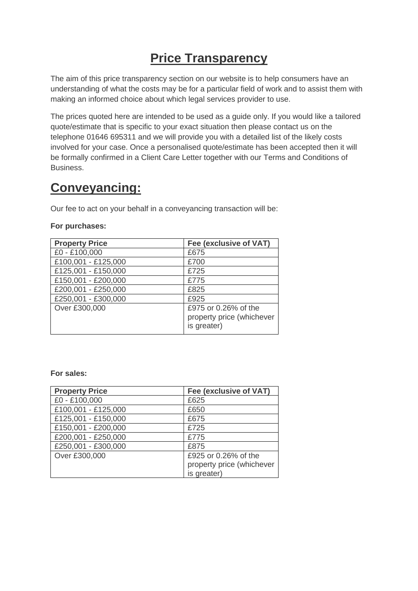# **Price Transparency**

The aim of this price transparency section on our website is to help consumers have an understanding of what the costs may be for a particular field of work and to assist them with making an informed choice about which legal services provider to use.

The prices quoted here are intended to be used as a guide only. If you would like a tailored quote/estimate that is specific to your exact situation then please contact us on the telephone 01646 695311 and we will provide you with a detailed list of the likely costs involved for your case. Once a personalised quote/estimate has been accepted then it will be formally confirmed in a Client Care Letter together with our Terms and Conditions of Business.

# **Conveyancing:**

Our fee to act on your behalf in a conveyancing transaction will be:

#### **For purchases:**

| <b>Property Price</b> | Fee (exclusive of VAT)                                           |
|-----------------------|------------------------------------------------------------------|
| £0 - £100,000         | £675                                                             |
| £100,001 - £125,000   | £700                                                             |
| £125,001 - £150,000   | £725                                                             |
| £150,001 - £200,000   | £775                                                             |
| £200,001 - £250,000   | £825                                                             |
| £250,001 - £300,000   | £925                                                             |
| Over £300,000         | £975 or 0.26% of the<br>property price (whichever<br>is greater) |

#### **For sales:**

| <b>Property Price</b> | Fee (exclusive of VAT)    |
|-----------------------|---------------------------|
| £0 - £100,000         | £625                      |
| £100,001 - £125,000   | £650                      |
| £125,001 - £150,000   | £675                      |
| £150,001 - £200,000   | £725                      |
| £200,001 - £250,000   | £775                      |
| £250,001 - £300,000   | £875                      |
| Over £300,000         | £925 or 0.26% of the      |
|                       | property price (whichever |
|                       | is greater)               |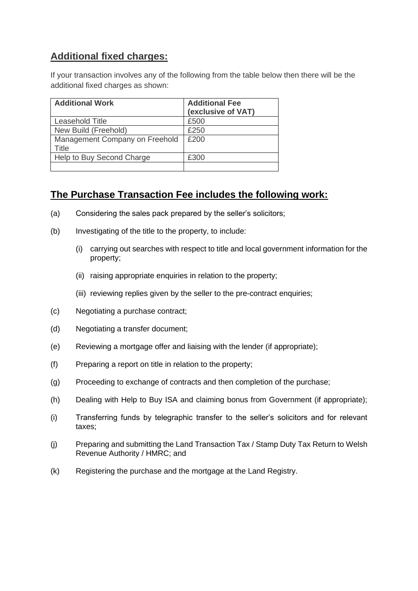# **Additional fixed charges:**

If your transaction involves any of the following from the table below then there will be the additional fixed charges as shown:

| <b>Additional Work</b>                  | <b>Additional Fee</b><br>(exclusive of VAT) |
|-----------------------------------------|---------------------------------------------|
| Leasehold Title                         | £500                                        |
| New Build (Freehold)                    | £250                                        |
| Management Company on Freehold<br>Title | £200                                        |
| Help to Buy Second Charge               | £300                                        |
|                                         |                                             |

# **The Purchase Transaction Fee includes the following work:**

- (a) Considering the sales pack prepared by the seller's solicitors;
- (b) Investigating of the title to the property, to include:
	- (i) carrying out searches with respect to title and local government information for the property;
	- (ii) raising appropriate enquiries in relation to the property;
	- (iii) reviewing replies given by the seller to the pre-contract enquiries;
- (c) Negotiating a purchase contract;
- (d) Negotiating a transfer document;
- (e) Reviewing a mortgage offer and liaising with the lender (if appropriate);
- (f) Preparing a report on title in relation to the property;
- (g) Proceeding to exchange of contracts and then completion of the purchase;
- (h) Dealing with Help to Buy ISA and claiming bonus from Government (if appropriate);
- (i) Transferring funds by telegraphic transfer to the seller's solicitors and for relevant taxes;
- (j) Preparing and submitting the Land Transaction Tax / Stamp Duty Tax Return to Welsh Revenue Authority / HMRC; and
- (k) Registering the purchase and the mortgage at the Land Registry.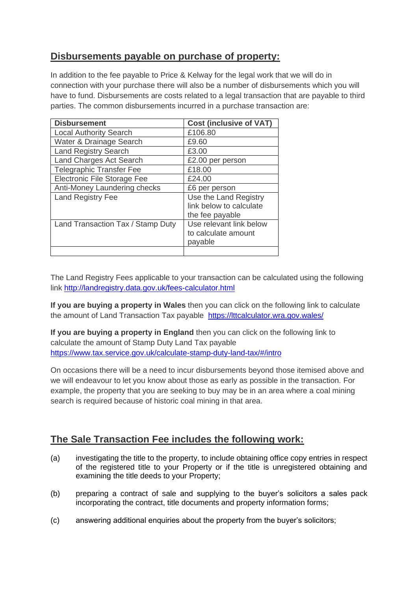# **Disbursements payable on purchase of property:**

In addition to the fee payable to Price & Kelway for the legal work that we will do in connection with your purchase there will also be a number of disbursements which you will have to fund. Disbursements are costs related to a legal transaction that are payable to third parties. The common disbursements incurred in a purchase transaction are:

| <b>Disbursement</b>               | <b>Cost (inclusive of VAT)</b>                                      |
|-----------------------------------|---------------------------------------------------------------------|
| <b>Local Authority Search</b>     | £106.80                                                             |
| Water & Drainage Search           | £9.60                                                               |
| <b>Land Registry Search</b>       | £3.00                                                               |
| <b>Land Charges Act Search</b>    | £2.00 per person                                                    |
| <b>Telegraphic Transfer Fee</b>   | £18.00                                                              |
| Electronic File Storage Fee       | £24.00                                                              |
| Anti-Money Laundering checks      | £6 per person                                                       |
| <b>Land Registry Fee</b>          | Use the Land Registry<br>link below to calculate<br>the fee payable |
| Land Transaction Tax / Stamp Duty | Use relevant link below<br>to calculate amount<br>payable           |
|                                   |                                                                     |

The Land Registry Fees applicable to your transaction can be calculated using the following link<http://landregistry.data.gov.uk/fees-calculator.html>

**If you are buying a property in Wales** then you can click on the following link to calculate the amount of Land Transaction Tax payable <https://lttcalculator.wra.gov.wales/>

**If you are buying a property in England** then you can click on the following link to calculate the amount of Stamp Duty Land Tax payable <https://www.tax.service.gov.uk/calculate-stamp-duty-land-tax/#/intro>

On occasions there will be a need to incur disbursements beyond those itemised above and we will endeavour to let you know about those as early as possible in the transaction. For example, the property that you are seeking to buy may be in an area where a coal mining search is required because of historic coal mining in that area.

# **The Sale Transaction Fee includes the following work:**

- (a) investigating the title to the property, to include obtaining office copy entries in respect of the registered title to your Property or if the title is unregistered obtaining and examining the title deeds to your Property;
- (b) preparing a contract of sale and supplying to the buyer's solicitors a sales pack incorporating the contract, title documents and property information forms;
- (c) answering additional enquiries about the property from the buyer's solicitors;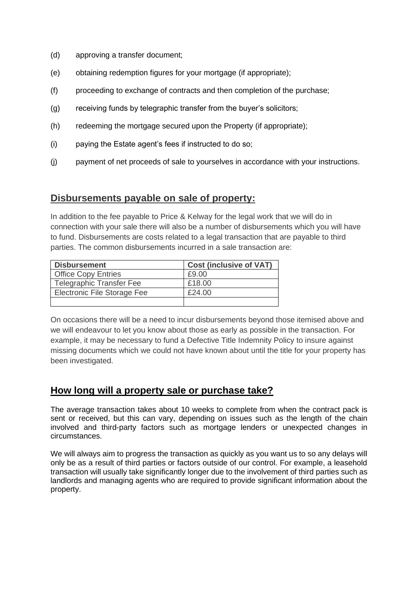- (d) approving a transfer document;
- (e) obtaining redemption figures for your mortgage (if appropriate);
- (f) proceeding to exchange of contracts and then completion of the purchase;
- (g) receiving funds by telegraphic transfer from the buyer's solicitors;
- (h) redeeming the mortgage secured upon the Property (if appropriate);
- (i) paying the Estate agent's fees if instructed to do so;
- (j) payment of net proceeds of sale to yourselves in accordance with your instructions.

#### **Disbursements payable on sale of property:**

In addition to the fee payable to Price & Kelway for the legal work that we will do in connection with your sale there will also be a number of disbursements which you will have to fund. Disbursements are costs related to a legal transaction that are payable to third parties. The common disbursements incurred in a sale transaction are:

| <b>Disbursement</b>             | <b>Cost (inclusive of VAT)</b> |
|---------------------------------|--------------------------------|
| <b>Office Copy Entries</b>      | £9.00                          |
| <b>Telegraphic Transfer Fee</b> | £18.00                         |
| Electronic File Storage Fee     | £24.00                         |
|                                 |                                |

On occasions there will be a need to incur disbursements beyond those itemised above and we will endeavour to let you know about those as early as possible in the transaction. For example, it may be necessary to fund a Defective Title Indemnity Policy to insure against missing documents which we could not have known about until the title for your property has been investigated.

### **How long will a property sale or purchase take?**

The average transaction takes about 10 weeks to complete from when the contract pack is sent or received, but this can vary, depending on issues such as the length of the chain involved and third-party factors such as mortgage lenders or unexpected changes in circumstances.

We will always aim to progress the transaction as quickly as you want us to so any delays will only be as a result of third parties or factors outside of our control. For example, a leasehold transaction will usually take significantly longer due to the involvement of third parties such as landlords and managing agents who are required to provide significant information about the property.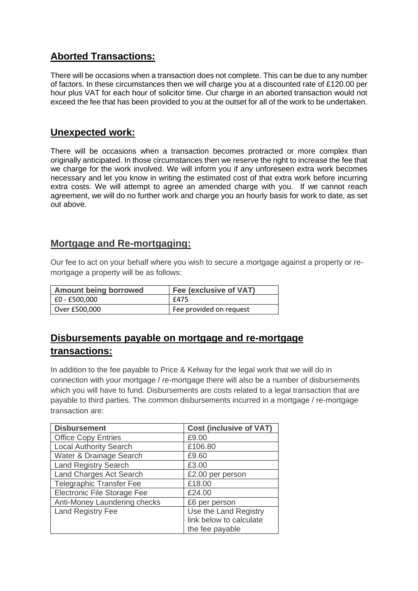# **Aborted Transactions:**

There will be occasions when a transaction does not complete. This can be due to any number of factors. In these circumstances then we will charge you at a discounted rate of £120.00 per hour plus VAT for each hour of solicitor time. Our charge in an aborted transaction would not exceed the fee that has been provided to you at the outset for all of the work to be undertaken.

# **Unexpected work:**

There will be occasions when a transaction becomes protracted or more complex than originally anticipated. In those circumstances then we reserve the right to increase the fee that we charge for the work involved. We will inform you if any unforeseen extra work becomes necessary and let you know in writing the estimated cost of that extra work before incurring extra costs. We will attempt to agree an amended charge with you. If we cannot reach agreement, we will do no further work and charge you an hourly basis for work to date, as set out above.

## **Mortgage and Re-mortgaging:**

Our fee to act on your behalf where you wish to secure a mortgage against a property or remortgage a property will be as follows:

| <b>Amount being borrowed</b> | Fee (exclusive of VAT)  |
|------------------------------|-------------------------|
| E0 - £500,000                | £475                    |
| Over £500,000                | Fee provided on request |

# **Disbursements payable on mortgage and re-mortgage transactions:**

In addition to the fee payable to Price & Kelway for the legal work that we will do in connection with your mortgage / re-mortgage there will also be a number of disbursements which you will have to fund. Disbursements are costs related to a legal transaction that are payable to third parties. The common disbursements incurred in a mortgage / re-mortgage transaction are:

| <b>Disbursement</b>             | <b>Cost (inclusive of VAT)</b> |
|---------------------------------|--------------------------------|
| <b>Office Copy Entries</b>      | £9.00                          |
| <b>Local Authority Search</b>   | £106.80                        |
| Water & Drainage Search         | £9.60                          |
| <b>Land Registry Search</b>     | £3.00                          |
| <b>Land Charges Act Search</b>  | £2.00 per person               |
| <b>Telegraphic Transfer Fee</b> | £18.00                         |
| Electronic File Storage Fee     | £24.00                         |
| Anti-Money Laundering checks    | £6 per person                  |
| <b>Land Registry Fee</b>        | Use the Land Registry          |
|                                 | link below to calculate        |
|                                 | the fee payable                |